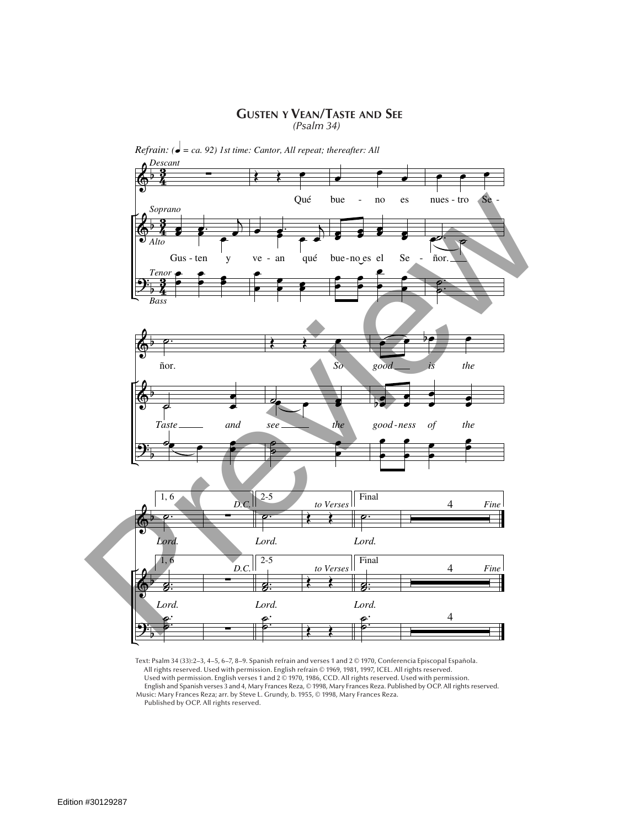## **Gusten y Vean/Taste and See** *(Psalm 34)*



*Refrain:* ( $\dot{\bullet}$  = ca. 92) 1st time: Cantor, All repeat; thereafter: All

Text: Psalm 34 (33):2–3, 4–5, 6–7, 8–9. Spanish refrain and verses 1 and 2 © 1970, Conferencia Episcopal Española. All rights reserved. Used with permission. English refrain © 1969, 1981, 1997, ICEL. All rights reserved. Used with permission. English verses 1 and 2 © 1970, 1986, CCD. All rights reserved. Used with permission. English and Spanish verses 3 and 4, Mary Frances Reza, © 1998, Mary Frances Reza. Published by OCP. All rights reserved. Music: Mary Frances Reza; arr. by Steve L. Grundy, b. 1955, © 1998, Mary Frances Reza. Published by OCP. All rights reserved.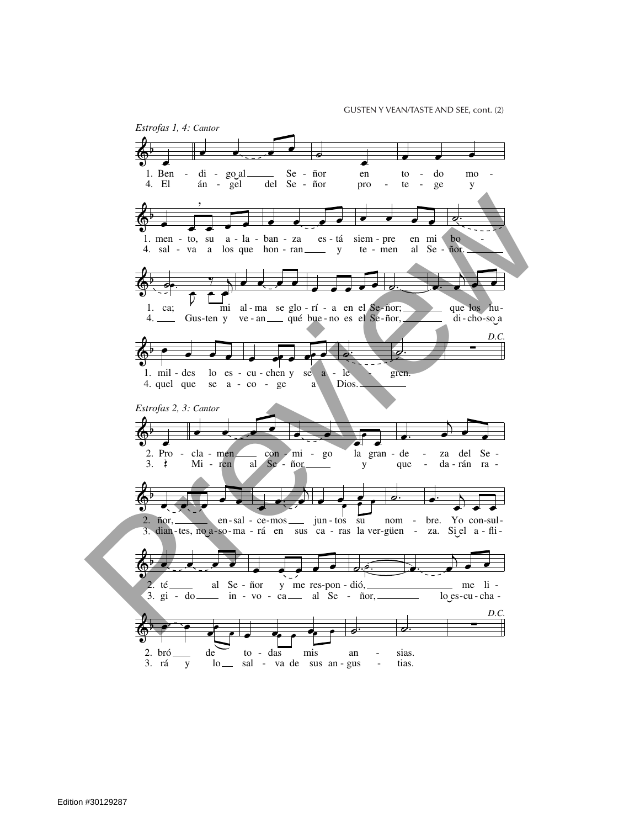**GUSTEN Y VEAN/TASTE AND SEE, cont. (2)**